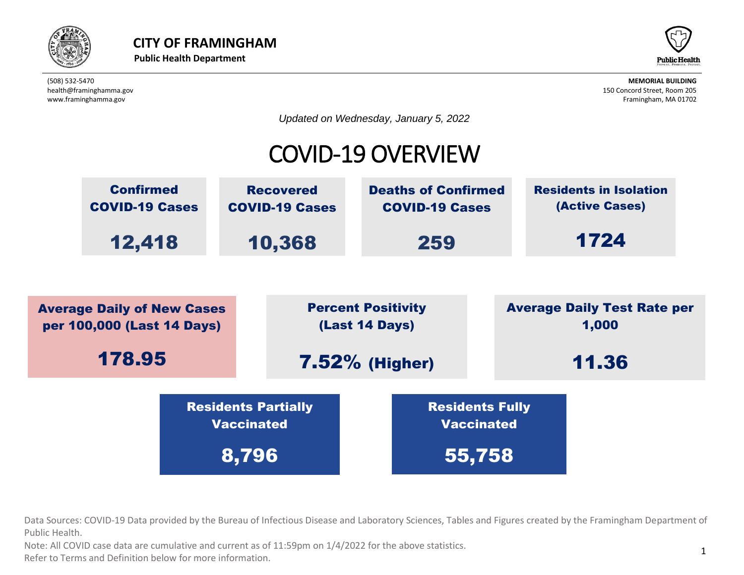



*Updated on Wednesday, January 5, 2022*

#### COVID-19 OVERVIEW



Data Sources: COVID-19 Data provided by the Bureau of Infectious Disease and Laboratory Sciences, Tables and Figures created by the Framingham Department of<br>Public Health.  $\left( \frac{1}{2} \right)$ Public Health. Vaccinated the Company of the Company of the Company of the Company of the Company of the Company of the Compa<br>Vaccinated the Company of the Company of the Company of the Company of the Company of the Company of the Compa C Dureau Or imedia

t as of 11:59pm on  $1/4/2022$  for the above statistics. Note: All COVID case data are cumulative and current as of 11:59pm on 1/4/2022 for the above statistics.

Officion. Refer to Terms and Definition below for more information.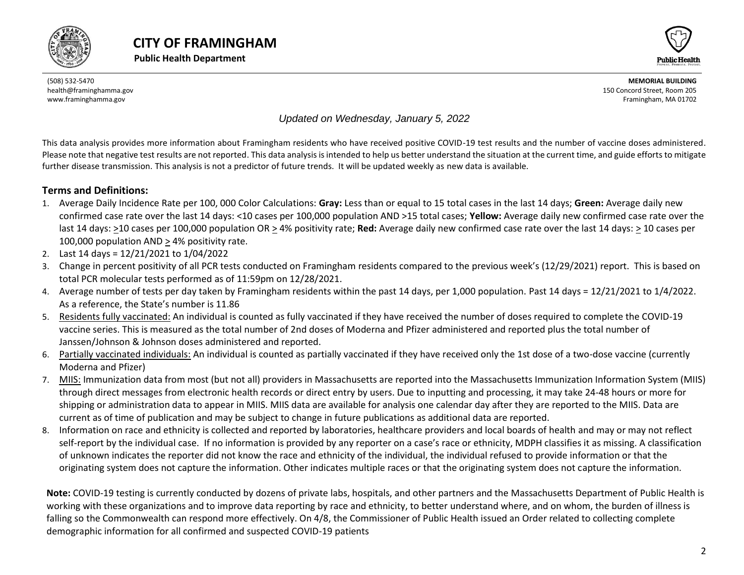





#### *Updated on Wednesday, January 5, 2022*

This data analysis provides more information about Framingham residents who have received positive COVID-19 test results and the number of vaccine doses administered. Please note that negative test results are not reported. This data analysis is intended to help us better understand the situation at the current time, and guide efforts to mitigate further disease transmission. This analysis is not a predictor of future trends. It will be updated weekly as new data is available.

#### **Terms and Definitions:**

- 1. Average Daily Incidence Rate per 100, 000 Color Calculations: **Gray:** Less than or equal to 15 total cases in the last 14 days; **Green:** Average daily new confirmed case rate over the last 14 days: <10 cases per 100,000 population AND >15 total cases; **Yellow:** Average daily new confirmed case rate over the last 14 days: >10 cases per 100,000 population OR > 4% positivity rate; **Red:** Average daily new confirmed case rate over the last 14 days: > 10 cases per 100,000 population AND > 4% positivity rate.
- 2. Last 14 days = 12/21/2021 to 1/04/2022
- 3. Change in percent positivity of all PCR tests conducted on Framingham residents compared to the previous week's (12/29/2021) report. This is based on total PCR molecular tests performed as of 11:59pm on 12/28/2021.
- 4. Average number of tests per day taken by Framingham residents within the past 14 days, per 1,000 population. Past 14 days = 12/21/2021 to 1/4/2022. As a reference, the State's number is 11.86
- 5. Residents fully vaccinated: An individual is counted as fully vaccinated if they have received the number of doses required to complete the COVID-19 vaccine series. This is measured as the total number of 2nd doses of Moderna and Pfizer administered and reported plus the total number of Janssen/Johnson & Johnson doses administered and reported.
- 6. Partially vaccinated individuals: An individual is counted as partially vaccinated if they have received only the 1st dose of a two-dose vaccine (currently Moderna and Pfizer)
- 7. MIIS: Immunization data from most (but not all) providers in Massachusetts are reported into the Massachusetts Immunization Information System (MIIS) through direct messages from electronic health records or direct entry by users. Due to inputting and processing, it may take 24-48 hours or more for shipping or administration data to appear in MIIS. MIIS data are available for analysis one calendar day after they are reported to the MIIS. Data are current as of time of publication and may be subject to change in future publications as additional data are reported.
- 8. Information on race and ethnicity is collected and reported by laboratories, healthcare providers and local boards of health and may or may not reflect self-report by the individual case. If no information is provided by any reporter on a case's race or ethnicity, MDPH classifies it as missing. A classification of unknown indicates the reporter did not know the race and ethnicity of the individual, the individual refused to provide information or that the originating system does not capture the information. Other indicates multiple races or that the originating system does not capture the information.

<span id="page-1-0"></span>**Note:** COVID-19 testing is currently conducted by dozens of private labs, hospitals, and other partners and the Massachusetts Department of Public Health is working with these organizations and to improve data reporting by race and ethnicity, to better understand where, and on whom, the burden of illness is falling so the Commonwealth can respond more effectively. On 4/8, the Commissioner of Public Health issued an Order related to collecting complete demographic information for all confirmed and suspected COVID-19 patients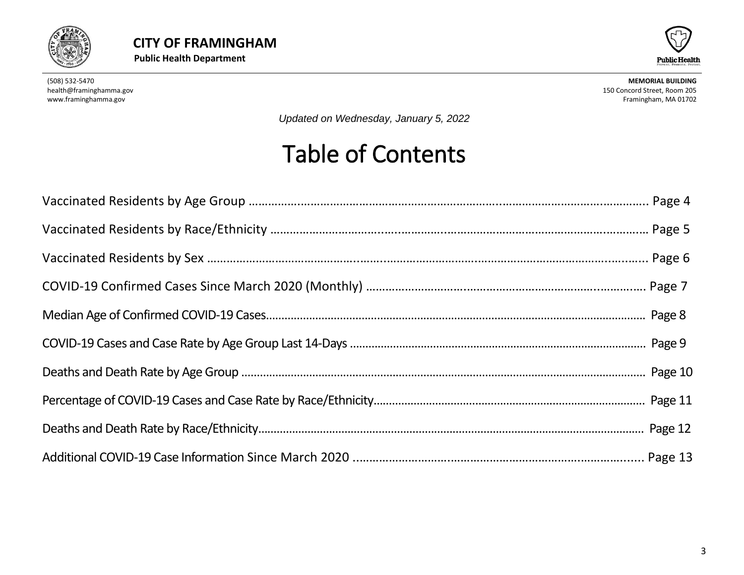



*Updated on Wednesday, January 5, 2022*

# Table of Contents

<span id="page-2-0"></span>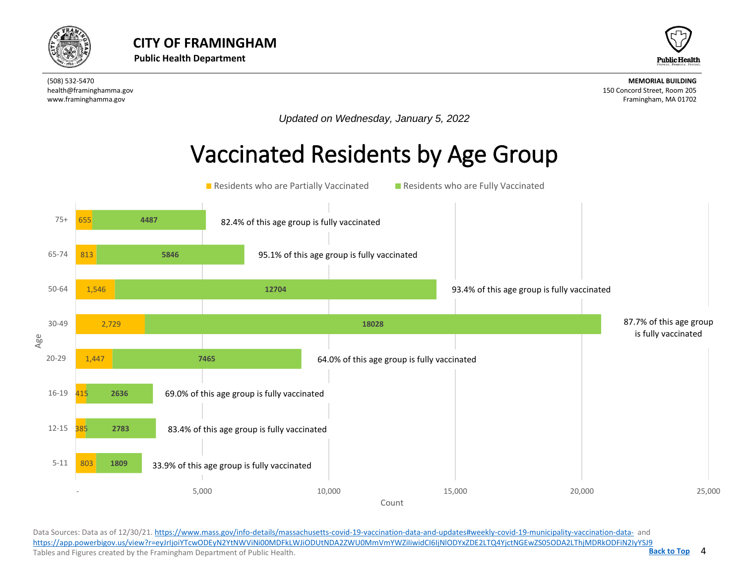



*Updated on Wednesday, January 5, 2022*

## Vaccinated Residents by Age Group



Data Sources: Data as of 12/30/21[. https://www.mass.gov/info-details/massachusetts-covid-19-vaccination-data-and-updates#weekly-covid-19-municipality-vaccination-data-](https://www.mass.gov/info-details/massachusetts-covid-19-vaccination-data-and-updates#weekly-covid-19-municipality-vaccination-data-) and <https://app.powerbigov.us/view?r=eyJrIjoiYTcwODEyN2YtNWViNi00MDFkLWJiODUtNDA2ZWU0MmVmYWZiIiwidCI6IjNlODYxZDE2LTQ4YjctNGEwZS05ODA2LThjMDRkODFiN2IyYSJ9> Tables and Figures created by the Framingham Department of Public Health.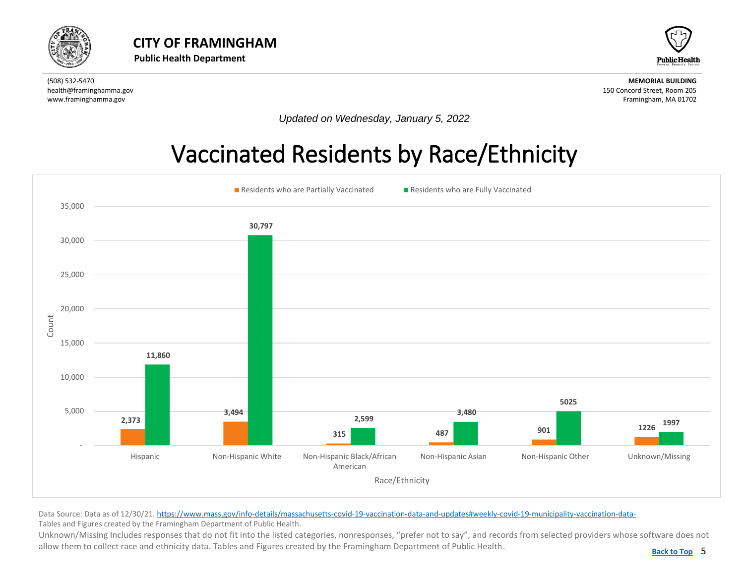<span id="page-4-0"></span>



*Updated on Wednesday, January 5, 2022*

## Vaccinated Residents by Race/Ethnicity



Data Source: Data as of 12/30/21[. https://www.mass.gov/info-details/massachusetts-covid-19-vaccination-data-and-updates#weekly-covid-19-municipality-vaccination-data-](https://www.mass.gov/info-details/massachusetts-covid-19-vaccination-data-and-updates#weekly-covid-19-municipality-vaccination-data-)Tables and Figures created by the Framingham Department of Public Health.

Unknown/Missing Includes responses that do not fit into the listed categories, nonresponses, "prefer not to say", and records from selected providers whose software does not allow them to collect race and ethnicity data. Tables and Figures created by the Framingham Department of Public Health.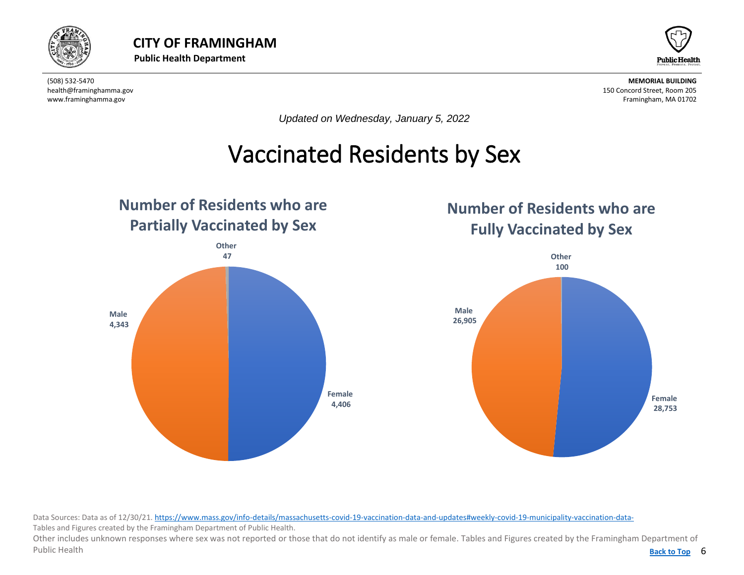

<span id="page-5-0"></span>



*Updated on Wednesday, January 5, 2022*

#### Vaccinated Residents by Sex  $\overline{a}$



#### **Number of Residents who are Fully Vaccinated by Sex**



Data Sources: Data as of 12/30/21[. https://www.mass.gov/info-details/massachusetts-covid-19-vaccination-data-and-updates#weekly-covid-19-municipality-vaccination-data-](https://www.mass.gov/info-details/massachusetts-covid-19-vaccination-data-and-updates#weekly-covid-19-municipality-vaccination-data-)Tables and Figures created by the Framingham Department of Public Health.

Back to Top 6 Other includes unknown responses where sex was not reported or those that do not identify as male or female. Tables and Figures created by the Framingham Department of Public Health **[Back to Top](#page-1-0)**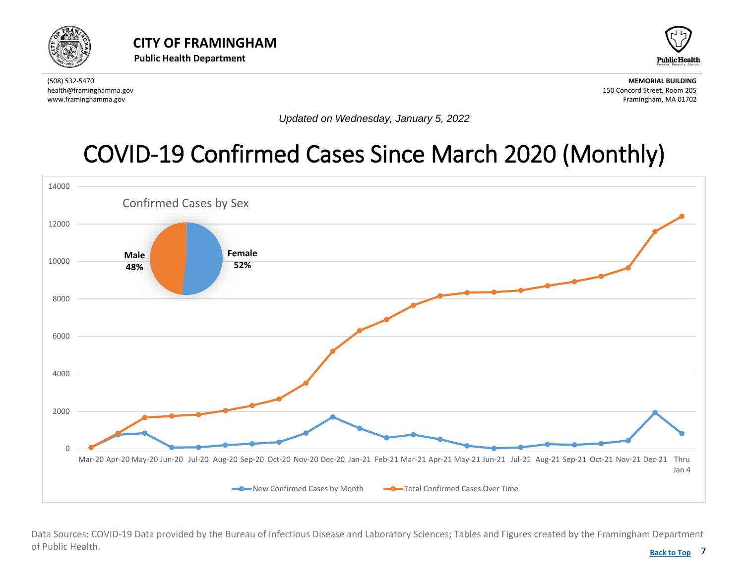<span id="page-6-0"></span>



*Updated on Wednesday, January 5, 2022*

## [COVID-19 Confirmed Cases Since March 2020](#page-6-0) (Monthly)



Data Sources: COVID-19 Data provided by the Bureau of Infectious Disease and Laboratory Sciences; Tables and Figures created by the Framingham Department of Public Health.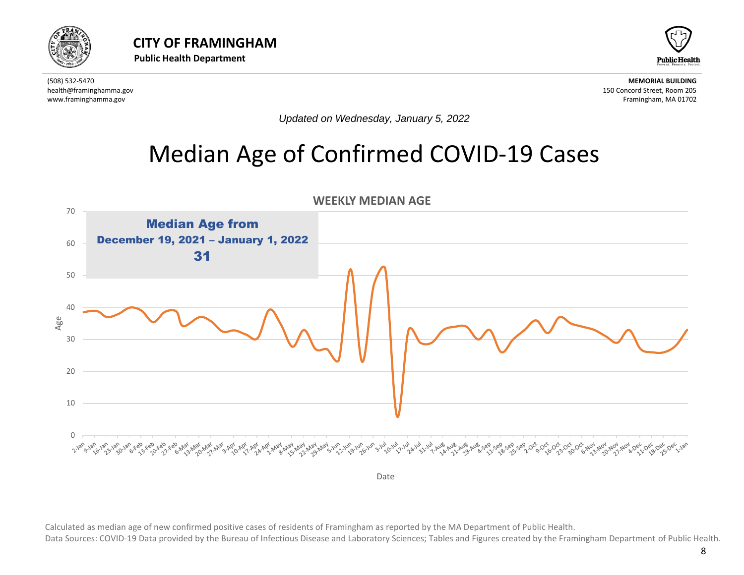



*Updated on Wednesday, January 5, 2022*

## Median Age of Confirmed COVID-19 Cases

<span id="page-7-0"></span>

Calculated as median age of new confirmed positive cases of residents of Framingham as reported by the MA Department of Public Health.

Data Sources: COVID-19 Data provided by the Bureau of Infectious Disease and Laboratory Sciences; Tables and Figures created by the Framingham Department of Public Health.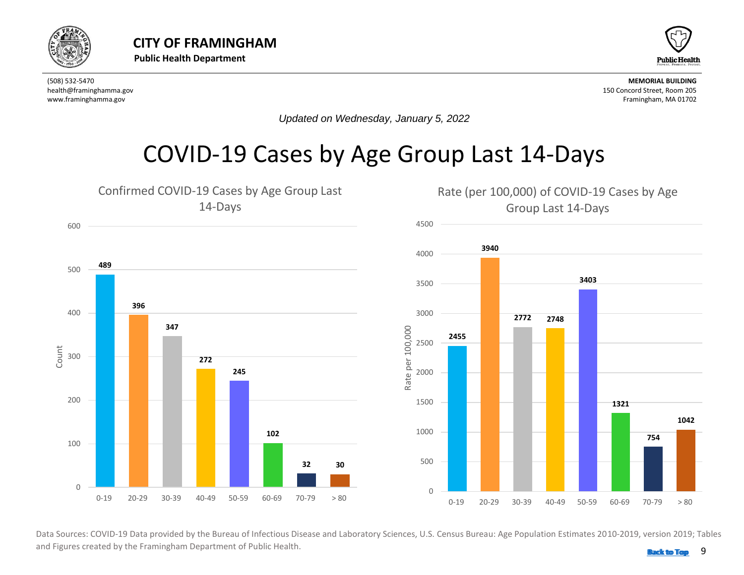<span id="page-8-0"></span>



*Updated on Wednesday, January 5, 2022*

#### COVID-19 Cases by Age Group Last 14-Days



 Data Sources: COVID-19 Data provided by the Bureau of Infectious Disease and Laboratory Sciences, U.S. Census Bureau: Age Population Estimates 2010-2019, version 2019; Tables and Figures created by the Framingham Department of Public Health. **Back 1999 [Back to Top](#page-1-0)**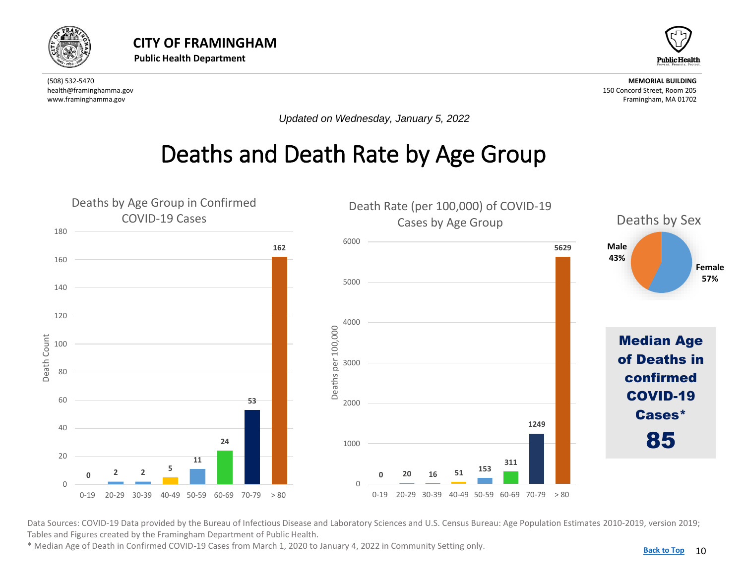<span id="page-9-0"></span>



*Updated on Wednesday, January 5, 2022*

## Deaths and Death Rate by Age Group



Data Sources: COVID-19 Data provided by the Bureau of Infectious Disease and Laboratory Sciences and U.S. Census Bureau: Age Population Estimates 2010-2019, version 2019; Tables and Figures created by the Framingham Department of Public Health.

\* Median Age of Death in Confirmed COVID-19 Cases from March 1, 2020 to January 4, 2022 in Community Setting only.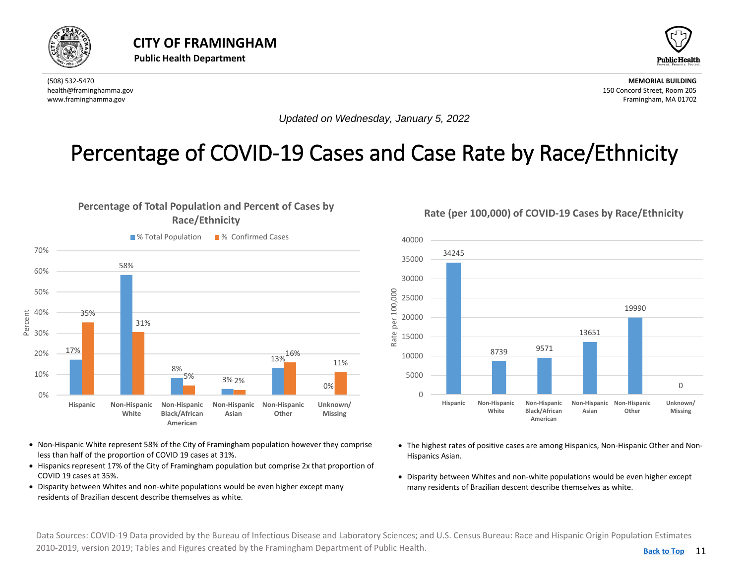<span id="page-10-0"></span>



*Updated on Wednesday, January 5, 2022*

#### Percentage of COVID-19 Cases and Case Rate by Race/Ethnicity

#### **Percentage of Total Population and Percent of Cases by Race/Ethnicity**



- Non-Hispanic White represent 58% of the City of Framingham population however they comprise less than half of the proportion of COVID 19 cases at 31%.
- Hispanics represent 17% of the City of Framingham population but comprise 2x that proportion of COVID 19 cases at 35%.
- Disparity between Whites and non-white populations would be even higher except many residents of Brazilian descent describe themselves as white.

**Rate (per 100,000) of COVID-19 Cases by Race/Ethnicity**



- The highest rates of positive cases are among Hispanics, Non-Hispanic Other and Non-Hispanics Asian.
- Disparity between Whites and non-white populations would be even higher except many residents of Brazilian descent describe themselves as white.

Data Sources: COVID-19 Data provided by the Bureau of Infectious Disease and Laboratory Sciences; and U.S. Census Bureau: Race and Hispanic Origin Population Estimates 2010-2019, version 2019; Tables and Figures created by the Framingham Department of Public Health.